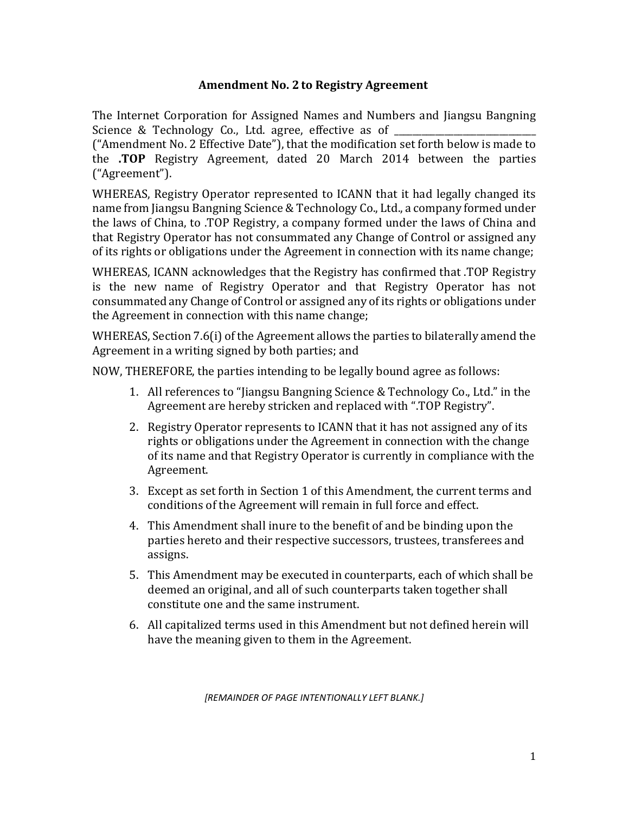## **Amendment No. 2 to Registry Agreement**

The Internet Corporation for Assigned Names and Numbers and Jiangsu Bangning Science & Technology Co., Ltd. agree, effective as of  $\_$ 

("Amendment No. 2 Effective Date"), that the modification set forth below is made to the **.TOP** Registry Agreement, dated 20 March 2014 between the parties ("Agreement").

WHEREAS, Registry Operator represented to ICANN that it had legally changed its name from Jiangsu Bangning Science & Technology Co., Ltd., a company formed under the laws of China, to .TOP Registry, a company formed under the laws of China and that Registry Operator has not consummated any Change of Control or assigned any of its rights or obligations under the Agreement in connection with its name change;

WHEREAS, ICANN acknowledges that the Registry has confirmed that .TOP Registry is the new name of Registry Operator and that Registry Operator has not consummated any Change of Control or assigned any of its rights or obligations under the Agreement in connection with this name change;

WHEREAS, Section 7.6(i) of the Agreement allows the parties to bilaterally amend the Agreement in a writing signed by both parties; and

NOW, THEREFORE, the parties intending to be legally bound agree as follows:

- 1. All references to "Jiangsu Bangning Science & Technology Co., Ltd." in the Agreement are hereby stricken and replaced with ".TOP Registry".
- 2. Registry Operator represents to ICANN that it has not assigned any of its rights or obligations under the Agreement in connection with the change of its name and that Registry Operator is currently in compliance with the Agreement.
- 3. Except as set forth in Section 1 of this Amendment, the current terms and conditions of the Agreement will remain in full force and effect.
- 4. This Amendment shall inure to the benefit of and be binding upon the parties hereto and their respective successors, trustees, transferees and assigns.
- 5. This Amendment may be executed in counterparts, each of which shall be deemed an original, and all of such counterparts taken together shall constitute one and the same instrument.
- 6. All capitalized terms used in this Amendment but not defined herein will have the meaning given to them in the Agreement.

*[REMAINDER OF PAGE INTENTIONALLY LEFT BLANK.]*